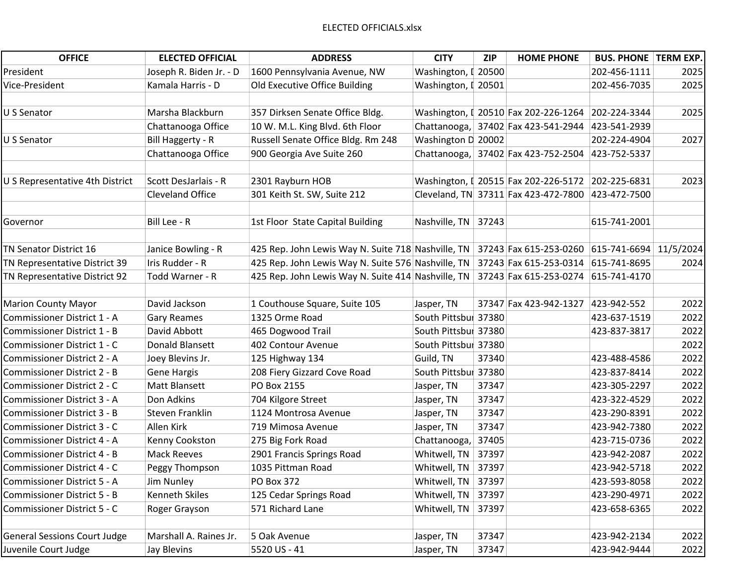| <b>OFFICE</b>                       | <b>ELECTED OFFICIAL</b> | <b>ADDRESS</b>                                     | <b>CITY</b>          | ZIP   | <b>HOME PHONE</b>                    | <b>BUS. PHONE   TERM EXP.</b> |      |
|-------------------------------------|-------------------------|----------------------------------------------------|----------------------|-------|--------------------------------------|-------------------------------|------|
| President                           | Joseph R. Biden Jr. - D | 1600 Pennsylvania Avenue, NW                       | Washington, [ 20500  |       |                                      | 202-456-1111                  | 2025 |
| Vice-President                      | Kamala Harris - D       | Old Executive Office Building                      | Washington, [ 20501  |       |                                      | 202-456-7035                  | 2025 |
|                                     |                         |                                                    |                      |       |                                      |                               |      |
| U S Senator                         | Marsha Blackburn        | 357 Dirksen Senate Office Bldg.                    |                      |       | Washington, [ 20510 Fax 202-226-1264 | 202-224-3344                  | 2025 |
|                                     | Chattanooga Office      | 10 W. M.L. King Blvd. 6th Floor                    |                      |       | Chattanooga, 37402 Fax 423-541-2944  | 423-541-2939                  |      |
| U S Senator                         | Bill Haggerty - R       | Russell Senate Office Bldg. Rm 248                 | Washington D 20002   |       |                                      | 202-224-4904                  | 2027 |
|                                     | Chattanooga Office      | 900 Georgia Ave Suite 260                          |                      |       | Chattanooga, 37402 Fax 423-752-2504  | 423-752-5337                  |      |
|                                     |                         |                                                    |                      |       |                                      |                               |      |
| U S Representative 4th District     | Scott DesJarlais - R    | 2301 Rayburn HOB                                   |                      |       | Washington, I 20515 Fax 202-226-5172 | 202-225-6831                  | 2023 |
|                                     | <b>Cleveland Office</b> | 301 Keith St. SW, Suite 212                        |                      |       | Cleveland, TN 37311 Fax 423-472-7800 | 423-472-7500                  |      |
|                                     |                         |                                                    |                      |       |                                      |                               |      |
| Governor                            | Bill Lee - R            | 1st Floor State Capital Building                   | Nashville, TN        | 37243 |                                      | 615-741-2001                  |      |
|                                     |                         |                                                    |                      |       |                                      |                               |      |
| TN Senator District 16              | Janice Bowling - R      | 425 Rep. John Lewis Way N. Suite 718 Nashville, TN |                      |       | 37243 Fax 615-253-0260               | 615-741-6694 11/5/2024        |      |
| TN Representative District 39       | Iris Rudder - R         | 425 Rep. John Lewis Way N. Suite 576 Nashville, TN |                      |       | 37243 Fax 615-253-0314               | 615-741-8695                  | 2024 |
| TN Representative District 92       | Todd Warner - R         | 425 Rep. John Lewis Way N. Suite 414 Nashville, TN |                      |       | 37243 Fax 615-253-0274               | 615-741-4170                  |      |
|                                     |                         |                                                    |                      |       |                                      |                               |      |
| <b>Marion County Mayor</b>          | David Jackson           | 1 Couthouse Square, Suite 105                      | Jasper, TN           |       | 37347 Fax 423-942-1327               | 423-942-552                   | 2022 |
| Commissioner District 1 - A         | <b>Gary Reames</b>      | 1325 Orme Road                                     | South Pittsbur 37380 |       |                                      | 423-637-1519                  | 2022 |
| Commissioner District 1 - B         | David Abbott            | 465 Dogwood Trail                                  | South Pittsbur 37380 |       |                                      | 423-837-3817                  | 2022 |
| Commissioner District 1 - C         | Donald Blansett         | 402 Contour Avenue                                 | South Pittsbur 37380 |       |                                      |                               | 2022 |
| Commissioner District 2 - A         | Joey Blevins Jr.        | 125 Highway 134                                    | Guild, TN            | 37340 |                                      | 423-488-4586                  | 2022 |
| <b>Commissioner District 2 - B</b>  | <b>Gene Hargis</b>      | 208 Fiery Gizzard Cove Road                        | South Pittsbur 37380 |       |                                      | 423-837-8414                  | 2022 |
| Commissioner District 2 - C         | Matt Blansett           | PO Box 2155                                        | Jasper, TN           | 37347 |                                      | 423-305-2297                  | 2022 |
| Commissioner District 3 - A         | Don Adkins              | 704 Kilgore Street                                 | Jasper, TN           | 37347 |                                      | 423-322-4529                  | 2022 |
| Commissioner District 3 - B         | Steven Franklin         | 1124 Montrosa Avenue                               | Jasper, TN           | 37347 |                                      | 423-290-8391                  | 2022 |
| Commissioner District 3 - C         | Allen Kirk              | 719 Mimosa Avenue                                  | Jasper, TN           | 37347 |                                      | 423-942-7380                  | 2022 |
| Commissioner District 4 - A         | Kenny Cookston          | 275 Big Fork Road                                  | Chattanooga,         | 37405 |                                      | 423-715-0736                  | 2022 |
| Commissioner District 4 - B         | <b>Mack Reeves</b>      | 2901 Francis Springs Road                          | Whitwell, TN         | 37397 |                                      | 423-942-2087                  | 2022 |
| Commissioner District 4 - C         | Peggy Thompson          | 1035 Pittman Road                                  | Whitwell, TN         | 37397 |                                      | 423-942-5718                  | 2022 |
| Commissioner District 5 - A         | Jim Nunley              | <b>PO Box 372</b>                                  | Whitwell, TN         | 37397 |                                      | 423-593-8058                  | 2022 |
| <b>Commissioner District 5 - B</b>  | <b>Kenneth Skiles</b>   | 125 Cedar Springs Road                             | Whitwell, TN         | 37397 |                                      | 423-290-4971                  | 2022 |
| Commissioner District 5 - C         | Roger Grayson           | 571 Richard Lane                                   | Whitwell, TN         | 37397 |                                      | 423-658-6365                  | 2022 |
|                                     |                         |                                                    |                      |       |                                      |                               |      |
| <b>General Sessions Court Judge</b> | Marshall A. Raines Jr.  | 5 Oak Avenue                                       | Jasper, TN           | 37347 |                                      | 423-942-2134                  | 2022 |
| Juvenile Court Judge                | Jay Blevins             | 5520 US - 41                                       | Jasper, TN           | 37347 |                                      | 423-942-9444                  | 2022 |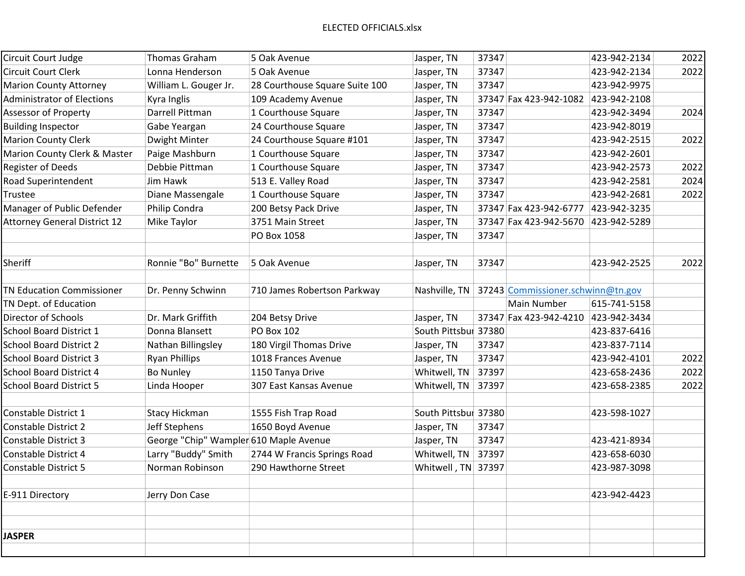| Circuit Court Judge                 | <b>Thomas Graham</b>                   | 5 Oak Avenue                   | Jasper, TN           | 37347 |                                   | 423-942-2134 | 2022 |
|-------------------------------------|----------------------------------------|--------------------------------|----------------------|-------|-----------------------------------|--------------|------|
| <b>Circuit Court Clerk</b>          | Lonna Henderson                        | 5 Oak Avenue                   | Jasper, TN           | 37347 |                                   | 423-942-2134 | 2022 |
| <b>Marion County Attorney</b>       | William L. Gouger Jr.                  | 28 Courthouse Square Suite 100 | Jasper, TN           | 37347 |                                   | 423-942-9975 |      |
| <b>Administrator of Elections</b>   | Kyra Inglis                            | 109 Academy Avenue             | Jasper, TN           |       | 37347 Fax 423-942-1082            | 423-942-2108 |      |
| <b>Assessor of Property</b>         | Darrell Pittman                        | 1 Courthouse Square            | Jasper, TN           | 37347 |                                   | 423-942-3494 | 2024 |
| <b>Building Inspector</b>           | Gabe Yeargan                           | 24 Courthouse Square           | Jasper, TN           | 37347 |                                   | 423-942-8019 |      |
| <b>Marion County Clerk</b>          | Dwight Minter                          | 24 Courthouse Square #101      | Jasper, TN           | 37347 |                                   | 423-942-2515 | 2022 |
| Marion County Clerk & Master        | Paige Mashburn                         | 1 Courthouse Square            | Jasper, TN           | 37347 |                                   | 423-942-2601 |      |
| <b>Register of Deeds</b>            | Debbie Pittman                         | 1 Courthouse Square            | Jasper, TN           | 37347 |                                   | 423-942-2573 | 2022 |
| Road Superintendent                 | Jim Hawk                               | 513 E. Valley Road             | Jasper, TN           | 37347 |                                   | 423-942-2581 | 2024 |
| Trustee                             | Diane Massengale                       | 1 Courthouse Square            | Jasper, TN           | 37347 |                                   | 423-942-2681 | 2022 |
| Manager of Public Defender          | Philip Condra                          | 200 Betsy Pack Drive           | Jasper, TN           |       | 37347 Fax 423-942-6777            | 423-942-3235 |      |
| <b>Attorney General District 12</b> | Mike Taylor                            | 3751 Main Street               | Jasper, TN           |       | 37347 Fax 423-942-5670            | 423-942-5289 |      |
|                                     |                                        | PO Box 1058                    | Jasper, TN           | 37347 |                                   |              |      |
|                                     |                                        |                                |                      |       |                                   |              |      |
| Sheriff                             | Ronnie "Bo" Burnette                   | 5 Oak Avenue                   | Jasper, TN           | 37347 |                                   | 423-942-2525 | 2022 |
|                                     |                                        |                                |                      |       |                                   |              |      |
| <b>TN Education Commissioner</b>    | Dr. Penny Schwinn                      | 710 James Robertson Parkway    | Nashville, TN        |       | 37243 Commissioner.schwinn@tn.gov |              |      |
| TN Dept. of Education               |                                        |                                |                      |       | Main Number                       | 615-741-5158 |      |
| Director of Schools                 | Dr. Mark Griffith                      | 204 Betsy Drive                | Jasper, TN           |       | 37347 Fax 423-942-4210            | 423-942-3434 |      |
| <b>School Board District 1</b>      | Donna Blansett                         | PO Box 102                     | South Pittsbur 37380 |       |                                   | 423-837-6416 |      |
| <b>School Board District 2</b>      | Nathan Billingsley                     | 180 Virgil Thomas Drive        | Jasper, TN           | 37347 |                                   | 423-837-7114 |      |
| <b>School Board District 3</b>      | <b>Ryan Phillips</b>                   | 1018 Frances Avenue            | Jasper, TN           | 37347 |                                   | 423-942-4101 | 2022 |
| <b>School Board District 4</b>      | <b>Bo Nunley</b>                       | 1150 Tanya Drive               | Whitwell, TN         | 37397 |                                   | 423-658-2436 | 2022 |
| <b>School Board District 5</b>      | Linda Hooper                           | 307 East Kansas Avenue         | Whitwell, TN         | 37397 |                                   | 423-658-2385 | 2022 |
|                                     |                                        |                                |                      |       |                                   |              |      |
| Constable District 1                | <b>Stacy Hickman</b>                   | 1555 Fish Trap Road            | South Pittsbur 37380 |       |                                   | 423-598-1027 |      |
| <b>Constable District 2</b>         | Jeff Stephens                          | 1650 Boyd Avenue               | Jasper, TN           | 37347 |                                   |              |      |
| <b>Constable District 3</b>         | George "Chip" Wampler 610 Maple Avenue |                                | Jasper, TN           | 37347 |                                   | 423-421-8934 |      |
| Constable District 4                | Larry "Buddy" Smith                    | 2744 W Francis Springs Road    | Whitwell, TN         | 37397 |                                   | 423-658-6030 |      |
| <b>Constable District 5</b>         | Norman Robinson                        | 290 Hawthorne Street           | Whitwell, TN 37397   |       |                                   | 423-987-3098 |      |
| E-911 Directory                     | Jerry Don Case                         |                                |                      |       |                                   | 423-942-4423 |      |
|                                     |                                        |                                |                      |       |                                   |              |      |
|                                     |                                        |                                |                      |       |                                   |              |      |
| <b>JASPER</b>                       |                                        |                                |                      |       |                                   |              |      |
|                                     |                                        |                                |                      |       |                                   |              |      |
|                                     |                                        |                                |                      |       |                                   |              |      |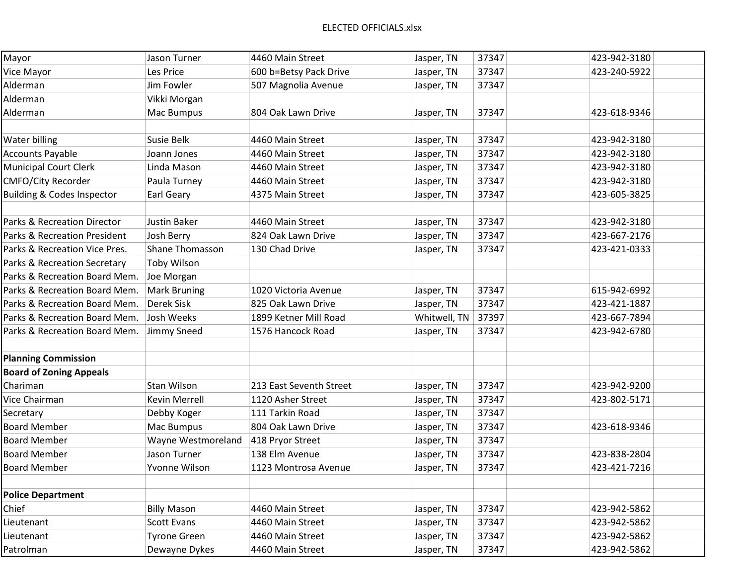| Mayor                                  | Jason Turner           | 4460 Main Street        | Jasper, TN   | 37347 | 423-942-3180 |
|----------------------------------------|------------------------|-------------------------|--------------|-------|--------------|
| Vice Mayor                             | Les Price              | 600 b=Betsy Pack Drive  | Jasper, TN   | 37347 | 423-240-5922 |
| Alderman                               | Jim Fowler             | 507 Magnolia Avenue     | Jasper, TN   | 37347 |              |
| Alderman                               | Vikki Morgan           |                         |              |       |              |
| Alderman                               | Mac Bumpus             | 804 Oak Lawn Drive      | Jasper, TN   | 37347 | 423-618-9346 |
|                                        |                        |                         |              |       |              |
| Water billing                          | Susie Belk             | 4460 Main Street        | Jasper, TN   | 37347 | 423-942-3180 |
| <b>Accounts Payable</b>                | Joann Jones            | 4460 Main Street        | Jasper, TN   | 37347 | 423-942-3180 |
| <b>Municipal Court Clerk</b>           | Linda Mason            | 4460 Main Street        | Jasper, TN   | 37347 | 423-942-3180 |
| <b>CMFO/City Recorder</b>              | Paula Turney           | 4460 Main Street        | Jasper, TN   | 37347 | 423-942-3180 |
| <b>Building &amp; Codes Inspector</b>  | <b>Earl Geary</b>      | 4375 Main Street        | Jasper, TN   | 37347 | 423-605-3825 |
|                                        |                        |                         |              |       |              |
| <b>Parks &amp; Recreation Director</b> | Justin Baker           | 4460 Main Street        | Jasper, TN   | 37347 | 423-942-3180 |
| Parks & Recreation President           | Josh Berry             | 824 Oak Lawn Drive      | Jasper, TN   | 37347 | 423-667-2176 |
| Parks & Recreation Vice Pres.          | <b>Shane Thomasson</b> | 130 Chad Drive          | Jasper, TN   | 37347 | 423-421-0333 |
| Parks & Recreation Secretary           | <b>Toby Wilson</b>     |                         |              |       |              |
| Parks & Recreation Board Mem.          | Joe Morgan             |                         |              |       |              |
| Parks & Recreation Board Mem.          | <b>Mark Bruning</b>    | 1020 Victoria Avenue    | Jasper, TN   | 37347 | 615-942-6992 |
| Parks & Recreation Board Mem.          | <b>Derek Sisk</b>      | 825 Oak Lawn Drive      | Jasper, TN   | 37347 | 423-421-1887 |
| Parks & Recreation Board Mem.          | Josh Weeks             | 1899 Ketner Mill Road   | Whitwell, TN | 37397 | 423-667-7894 |
| Parks & Recreation Board Mem.          | Jimmy Sneed            | 1576 Hancock Road       | Jasper, TN   | 37347 | 423-942-6780 |
|                                        |                        |                         |              |       |              |
| <b>Planning Commission</b>             |                        |                         |              |       |              |
| <b>Board of Zoning Appeals</b>         |                        |                         |              |       |              |
| Chariman                               | Stan Wilson            | 213 East Seventh Street | Jasper, TN   | 37347 | 423-942-9200 |
| Vice Chairman                          | <b>Kevin Merrell</b>   | 1120 Asher Street       | Jasper, TN   | 37347 | 423-802-5171 |
| Secretary                              | Debby Koger            | 111 Tarkin Road         | Jasper, TN   | 37347 |              |
| <b>Board Member</b>                    | Mac Bumpus             | 804 Oak Lawn Drive      | Jasper, TN   | 37347 | 423-618-9346 |
| <b>Board Member</b>                    | Wayne Westmoreland     | 418 Pryor Street        | Jasper, TN   | 37347 |              |
| <b>Board Member</b>                    | Jason Turner           | 138 Elm Avenue          | Jasper, TN   | 37347 | 423-838-2804 |
| <b>Board Member</b>                    | Yvonne Wilson          | 1123 Montrosa Avenue    | Jasper, TN   | 37347 | 423-421-7216 |
|                                        |                        |                         |              |       |              |
| <b>Police Department</b>               |                        |                         |              |       |              |
| Chief                                  | <b>Billy Mason</b>     | 4460 Main Street        | Jasper, TN   | 37347 | 423-942-5862 |
| Lieutenant                             | <b>Scott Evans</b>     | 4460 Main Street        | Jasper, TN   | 37347 | 423-942-5862 |
| Lieutenant                             | <b>Tyrone Green</b>    | 4460 Main Street        | Jasper, TN   | 37347 | 423-942-5862 |
| Patrolman                              | Dewayne Dykes          | 4460 Main Street        | Jasper, TN   | 37347 | 423-942-5862 |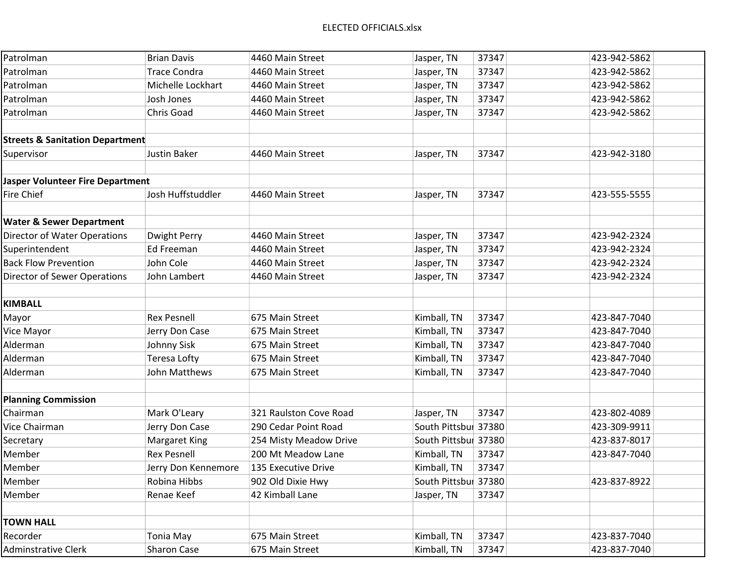## ELECTED OFFICIALS.xlsx

| Patrolman                                  | <b>Brian Davis</b>   | 4460 Main Street       | Jasper, TN           | 37347 | 423-942-5862 |
|--------------------------------------------|----------------------|------------------------|----------------------|-------|--------------|
| Patrolman                                  | <b>Trace Condra</b>  | 4460 Main Street       | Jasper, TN           | 37347 | 423-942-5862 |
| Patrolman                                  | Michelle Lockhart    | 4460 Main Street       | Jasper, TN           | 37347 | 423-942-5862 |
| Patrolman                                  | Josh Jones           | 4460 Main Street       | Jasper, TN           | 37347 | 423-942-5862 |
| Patrolman                                  | Chris Goad           | 4460 Main Street       | Jasper, TN           | 37347 | 423-942-5862 |
|                                            |                      |                        |                      |       |              |
| <b>Streets &amp; Sanitation Department</b> |                      |                        |                      |       |              |
| Supervisor                                 | <b>Justin Baker</b>  | 4460 Main Street       | Jasper, TN           | 37347 | 423-942-3180 |
|                                            |                      |                        |                      |       |              |
| <b>Jasper Volunteer Fire Department</b>    |                      |                        |                      |       |              |
| Fire Chief                                 | Josh Huffstuddler    | 4460 Main Street       | Jasper, TN           | 37347 | 423-555-5555 |
|                                            |                      |                        |                      |       |              |
| <b>Water &amp; Sewer Department</b>        |                      |                        |                      |       |              |
| <b>Director of Water Operations</b>        | <b>Dwight Perry</b>  | 4460 Main Street       | Jasper, TN           | 37347 | 423-942-2324 |
| Superintendent                             | <b>Ed Freeman</b>    | 4460 Main Street       | Jasper, TN           | 37347 | 423-942-2324 |
| <b>Back Flow Prevention</b>                | John Cole            | 4460 Main Street       | Jasper, TN           | 37347 | 423-942-2324 |
| Director of Sewer Operations               | John Lambert         | 4460 Main Street       | Jasper, TN           | 37347 | 423-942-2324 |
|                                            |                      |                        |                      |       |              |
| <b>KIMBALL</b>                             |                      |                        |                      |       |              |
| Mayor                                      | <b>Rex Pesnell</b>   | 675 Main Street        | Kimball, TN          | 37347 | 423-847-7040 |
| Vice Mayor                                 | Jerry Don Case       | 675 Main Street        | Kimball, TN          | 37347 | 423-847-7040 |
| Alderman                                   | Johnny Sisk          | 675 Main Street        | Kimball, TN          | 37347 | 423-847-7040 |
| Alderman                                   | <b>Teresa Lofty</b>  | 675 Main Street        | Kimball, TN          | 37347 | 423-847-7040 |
| Alderman                                   | John Matthews        | 675 Main Street        | Kimball, TN          | 37347 | 423-847-7040 |
|                                            |                      |                        |                      |       |              |
| <b>Planning Commission</b>                 |                      |                        |                      |       |              |
| Chairman                                   | Mark O'Leary         | 321 Raulston Cove Road | Jasper, TN           | 37347 | 423-802-4089 |
| Vice Chairman                              | Jerry Don Case       | 290 Cedar Point Road   | South Pittsbur 37380 |       | 423-309-9911 |
| Secretary                                  | <b>Margaret King</b> | 254 Misty Meadow Drive | South Pittsbul 37380 |       | 423-837-8017 |
| Member                                     | <b>Rex Pesnell</b>   | 200 Mt Meadow Lane     | Kimball, TN          | 37347 | 423-847-7040 |
| Member                                     | Jerry Don Kennemore  | 135 Executive Drive    | Kimball, TN          | 37347 |              |
| Member                                     | Robina Hibbs         | 902 Old Dixie Hwy      | South Pittsbur 37380 |       | 423-837-8922 |
| Member                                     | Renae Keef           | 42 Kimball Lane        | Jasper, TN           | 37347 |              |
|                                            |                      |                        |                      |       |              |
| <b>TOWN HALL</b>                           |                      |                        |                      |       |              |
| Recorder                                   | <b>Tonia May</b>     | 675 Main Street        | Kimball, TN          | 37347 | 423-837-7040 |
| <b>Adminstrative Clerk</b>                 | Sharon Case          | 675 Main Street        | Kimball, TN          | 37347 | 423-837-7040 |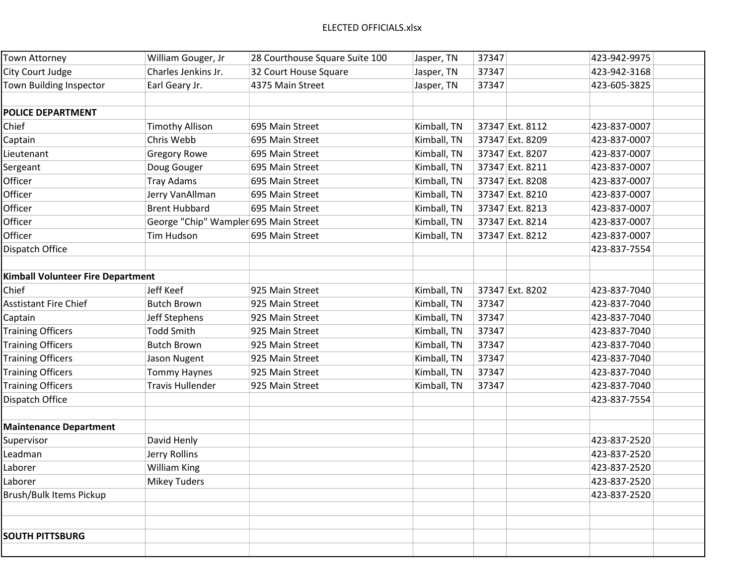| <b>Town Attorney</b>                     | William Gouger, Jr                    | 28 Courthouse Square Suite 100 | Jasper, TN  | 37347           | 423-942-9975 |
|------------------------------------------|---------------------------------------|--------------------------------|-------------|-----------------|--------------|
| City Court Judge                         | Charles Jenkins Jr.                   | 32 Court House Square          | Jasper, TN  | 37347           | 423-942-3168 |
| Town Building Inspector                  | Earl Geary Jr.                        | 4375 Main Street               | Jasper, TN  | 37347           | 423-605-3825 |
|                                          |                                       |                                |             |                 |              |
| <b>POLICE DEPARTMENT</b>                 |                                       |                                |             |                 |              |
| Chief                                    | <b>Timothy Allison</b>                | 695 Main Street                | Kimball, TN | 37347 Ext. 8112 | 423-837-0007 |
| Captain                                  | Chris Webb                            | 695 Main Street                | Kimball, TN | 37347 Ext. 8209 | 423-837-0007 |
| Lieutenant                               | <b>Gregory Rowe</b>                   | 695 Main Street                | Kimball, TN | 37347 Ext. 8207 | 423-837-0007 |
| Sergeant                                 | Doug Gouger                           | 695 Main Street                | Kimball, TN | 37347 Ext. 8211 | 423-837-0007 |
| Officer                                  | <b>Tray Adams</b>                     | 695 Main Street                | Kimball, TN | 37347 Ext. 8208 | 423-837-0007 |
| Officer                                  | Jerry VanAllman                       | 695 Main Street                | Kimball, TN | 37347 Ext. 8210 | 423-837-0007 |
| Officer                                  | <b>Brent Hubbard</b>                  | 695 Main Street                | Kimball, TN | 37347 Ext. 8213 | 423-837-0007 |
| Officer                                  | George "Chip" Wampler 695 Main Street |                                | Kimball, TN | 37347 Ext. 8214 | 423-837-0007 |
| Officer                                  | Tim Hudson                            | 695 Main Street                | Kimball, TN | 37347 Ext. 8212 | 423-837-0007 |
| Dispatch Office                          |                                       |                                |             |                 | 423-837-7554 |
|                                          |                                       |                                |             |                 |              |
| <b>Kimball Volunteer Fire Department</b> |                                       |                                |             |                 |              |
| Chief                                    | Jeff Keef                             | 925 Main Street                | Kimball, TN | 37347 Ext. 8202 | 423-837-7040 |
| <b>Asstistant Fire Chief</b>             | <b>Butch Brown</b>                    | 925 Main Street                | Kimball, TN | 37347           | 423-837-7040 |
| Captain                                  | Jeff Stephens                         | 925 Main Street                | Kimball, TN | 37347           | 423-837-7040 |
| <b>Training Officers</b>                 | <b>Todd Smith</b>                     | 925 Main Street                | Kimball, TN | 37347           | 423-837-7040 |
| <b>Training Officers</b>                 | <b>Butch Brown</b>                    | 925 Main Street                | Kimball, TN | 37347           | 423-837-7040 |
| <b>Training Officers</b>                 | Jason Nugent                          | 925 Main Street                | Kimball, TN | 37347           | 423-837-7040 |
| <b>Training Officers</b>                 | <b>Tommy Haynes</b>                   | 925 Main Street                | Kimball, TN | 37347           | 423-837-7040 |
| <b>Training Officers</b>                 | <b>Travis Hullender</b>               | 925 Main Street                | Kimball, TN | 37347           | 423-837-7040 |
| Dispatch Office                          |                                       |                                |             |                 | 423-837-7554 |
|                                          |                                       |                                |             |                 |              |
| <b>Maintenance Department</b>            |                                       |                                |             |                 |              |
| Supervisor                               | David Henly                           |                                |             |                 | 423-837-2520 |
| Leadman                                  | Jerry Rollins                         |                                |             |                 | 423-837-2520 |
| Laborer                                  | <b>William King</b>                   |                                |             |                 | 423-837-2520 |
| Laborer                                  | <b>Mikey Tuders</b>                   |                                |             |                 | 423-837-2520 |
| <b>Brush/Bulk Items Pickup</b>           |                                       |                                |             |                 | 423-837-2520 |
|                                          |                                       |                                |             |                 |              |
|                                          |                                       |                                |             |                 |              |
| <b>SOUTH PITTSBURG</b>                   |                                       |                                |             |                 |              |
|                                          |                                       |                                |             |                 |              |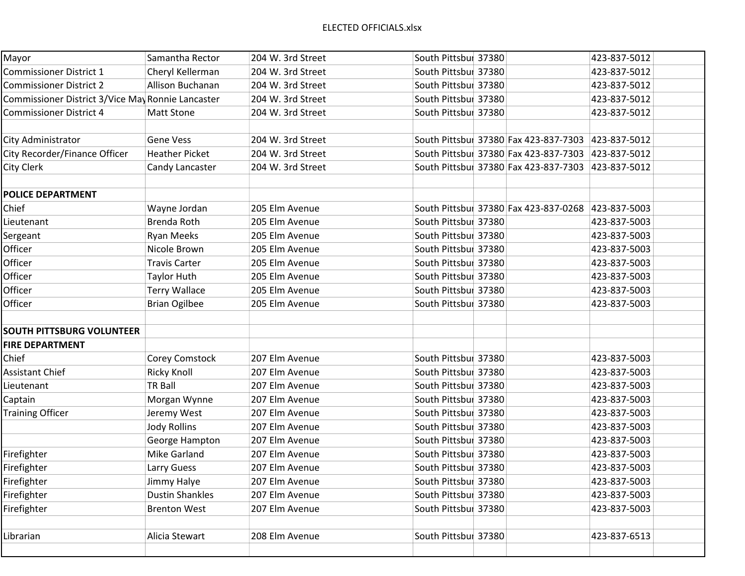| Mayor                                             | Samantha Rector        | 204 W. 3rd Street | South Pittsbur 37380 |                                                    | 423-837-5012 |  |
|---------------------------------------------------|------------------------|-------------------|----------------------|----------------------------------------------------|--------------|--|
| <b>Commissioner District 1</b>                    | Cheryl Kellerman       | 204 W. 3rd Street | South Pittsbur 37380 |                                                    | 423-837-5012 |  |
| <b>Commissioner District 2</b>                    | Allison Buchanan       | 204 W. 3rd Street | South Pittsbur 37380 |                                                    | 423-837-5012 |  |
| Commissioner District 3/Vice May Ronnie Lancaster |                        | 204 W. 3rd Street | South Pittsbur 37380 |                                                    | 423-837-5012 |  |
| <b>Commissioner District 4</b>                    | <b>Matt Stone</b>      | 204 W. 3rd Street | South Pittsbur 37380 |                                                    | 423-837-5012 |  |
|                                                   |                        |                   |                      |                                                    |              |  |
| City Administrator                                | <b>Gene Vess</b>       | 204 W. 3rd Street |                      | South Pittsbur 37380 Fax 423-837-7303              | 423-837-5012 |  |
| City Recorder/Finance Officer                     | <b>Heather Picket</b>  | 204 W. 3rd Street |                      | South Pittsbur 37380 Fax 423-837-7303              | 423-837-5012 |  |
| City Clerk                                        | Candy Lancaster        | 204 W. 3rd Street |                      | South Pittsbur 37380 Fax 423-837-7303 423-837-5012 |              |  |
|                                                   |                        |                   |                      |                                                    |              |  |
| <b>POLICE DEPARTMENT</b>                          |                        |                   |                      |                                                    |              |  |
| Chief                                             | Wayne Jordan           | 205 Elm Avenue    |                      | South Pittsbur 37380 Fax 423-837-0268 423-837-5003 |              |  |
| Lieutenant                                        | Brenda Roth            | 205 Elm Avenue    | South Pittsbur 37380 |                                                    | 423-837-5003 |  |
| Sergeant                                          | <b>Ryan Meeks</b>      | 205 Elm Avenue    | South Pittsbur 37380 |                                                    | 423-837-5003 |  |
| Officer                                           | Nicole Brown           | 205 Elm Avenue    | South Pittsbur 37380 |                                                    | 423-837-5003 |  |
| Officer                                           | <b>Travis Carter</b>   | 205 Elm Avenue    | South Pittsbur 37380 |                                                    | 423-837-5003 |  |
| Officer                                           | <b>Taylor Huth</b>     | 205 Elm Avenue    | South Pittsbul 37380 |                                                    | 423-837-5003 |  |
| Officer                                           | <b>Terry Wallace</b>   | 205 Elm Avenue    | South Pittsbur 37380 |                                                    | 423-837-5003 |  |
| Officer                                           | <b>Brian Ogilbee</b>   | 205 Elm Avenue    | South Pittsbur 37380 |                                                    | 423-837-5003 |  |
|                                                   |                        |                   |                      |                                                    |              |  |
| <b>SOUTH PITTSBURG VOLUNTEER</b>                  |                        |                   |                      |                                                    |              |  |
| <b>FIRE DEPARTMENT</b>                            |                        |                   |                      |                                                    |              |  |
| Chief                                             | Corey Comstock         | 207 Elm Avenue    | South Pittsbur 37380 |                                                    | 423-837-5003 |  |
| <b>Assistant Chief</b>                            | <b>Ricky Knoll</b>     | 207 Elm Avenue    | South Pittsbur 37380 |                                                    | 423-837-5003 |  |
| Lieutenant                                        | <b>TR Ball</b>         | 207 Elm Avenue    | South Pittsbur 37380 |                                                    | 423-837-5003 |  |
| Captain                                           | Morgan Wynne           | 207 Elm Avenue    | South Pittsbul 37380 |                                                    | 423-837-5003 |  |
| <b>Training Officer</b>                           | Jeremy West            | 207 Elm Avenue    | South Pittsbur 37380 |                                                    | 423-837-5003 |  |
|                                                   | <b>Jody Rollins</b>    | 207 Elm Avenue    | South Pittsbur 37380 |                                                    | 423-837-5003 |  |
|                                                   | George Hampton         | 207 Elm Avenue    | South Pittsbur 37380 |                                                    | 423-837-5003 |  |
| Firefighter                                       | <b>Mike Garland</b>    | 207 Elm Avenue    | South Pittsbur 37380 |                                                    | 423-837-5003 |  |
| Firefighter                                       | Larry Guess            | 207 Elm Avenue    | South Pittsbur 37380 |                                                    | 423-837-5003 |  |
| Firefighter                                       | Jimmy Halye            | 207 Elm Avenue    | South Pittsbur 37380 |                                                    | 423-837-5003 |  |
| Firefighter                                       | <b>Dustin Shankles</b> | 207 Elm Avenue    | South Pittsbur 37380 |                                                    | 423-837-5003 |  |
| Firefighter                                       | <b>Brenton West</b>    | 207 Elm Avenue    | South Pittsbur 37380 |                                                    | 423-837-5003 |  |
|                                                   |                        |                   |                      |                                                    |              |  |
| Librarian                                         | Alicia Stewart         | 208 Elm Avenue    | South Pittsbur 37380 |                                                    | 423-837-6513 |  |
|                                                   |                        |                   |                      |                                                    |              |  |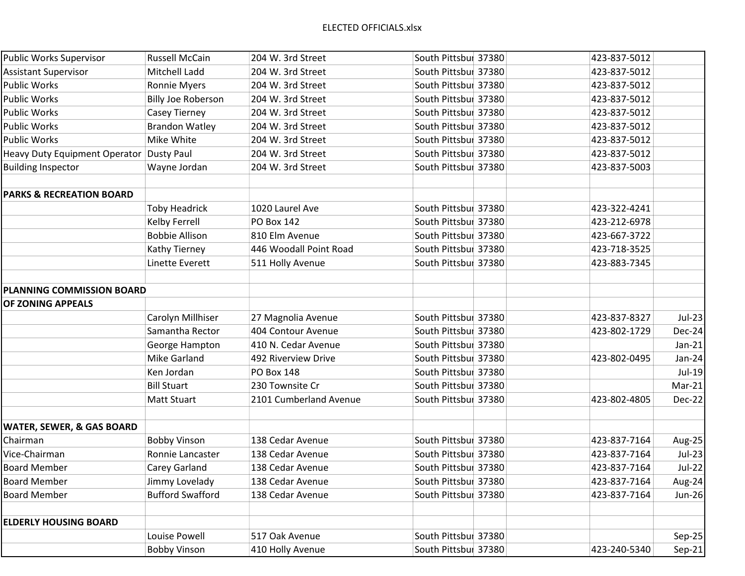| <b>Public Works Supervisor</b>       | <b>Russell McCain</b>   | 204 W. 3rd Street      | South Pittsbul 37380 | 423-837-5012 |               |
|--------------------------------------|-------------------------|------------------------|----------------------|--------------|---------------|
| <b>Assistant Supervisor</b>          | Mitchell Ladd           | 204 W. 3rd Street      | South Pittsbur 37380 | 423-837-5012 |               |
| <b>Public Works</b>                  | <b>Ronnie Myers</b>     | 204 W. 3rd Street      | South Pittsbur 37380 | 423-837-5012 |               |
| <b>Public Works</b>                  | Billy Joe Roberson      | 204 W. 3rd Street      | South Pittsbur 37380 | 423-837-5012 |               |
| <b>Public Works</b>                  | Casey Tierney           | 204 W. 3rd Street      | South Pittsbul 37380 | 423-837-5012 |               |
| <b>Public Works</b>                  | <b>Brandon Watley</b>   | 204 W. 3rd Street      | South Pittsbur 37380 | 423-837-5012 |               |
| <b>Public Works</b>                  | Mike White              | 204 W. 3rd Street      | South Pittsbur 37380 | 423-837-5012 |               |
| <b>Heavy Duty Equipment Operator</b> | <b>Dusty Paul</b>       | 204 W. 3rd Street      | South Pittsbur 37380 | 423-837-5012 |               |
| <b>Building Inspector</b>            | Wayne Jordan            | 204 W. 3rd Street      | South Pittsbur 37380 | 423-837-5003 |               |
| <b>PARKS &amp; RECREATION BOARD</b>  |                         |                        |                      |              |               |
|                                      | <b>Toby Headrick</b>    | 1020 Laurel Ave        | South Pittsbur 37380 | 423-322-4241 |               |
|                                      | Kelby Ferrell           | <b>PO Box 142</b>      | South Pittsbur 37380 | 423-212-6978 |               |
|                                      | <b>Bobbie Allison</b>   | 810 Elm Avenue         | South Pittsbur 37380 | 423-667-3722 |               |
|                                      | Kathy Tierney           | 446 Woodall Point Road | South Pittsbur 37380 | 423-718-3525 |               |
|                                      | Linette Everett         | 511 Holly Avenue       | South Pittsbur 37380 | 423-883-7345 |               |
| <b>PLANNING COMMISSION BOARD</b>     |                         |                        |                      |              |               |
| OF ZONING APPEALS                    |                         |                        |                      |              |               |
|                                      | Carolyn Millhiser       | 27 Magnolia Avenue     | South Pittsbur 37380 | 423-837-8327 | $Jul-23$      |
|                                      | Samantha Rector         | 404 Contour Avenue     | South Pittsbur 37380 | 423-802-1729 | Dec-24        |
|                                      | George Hampton          | 410 N. Cedar Avenue    | South Pittsbur 37380 |              | $Jan-21$      |
|                                      | Mike Garland            | 492 Riverview Drive    | South Pittsbur 37380 | 423-802-0495 | $Jan-24$      |
|                                      | Ken Jordan              | <b>PO Box 148</b>      | South Pittsbur 37380 |              | Jul-19        |
|                                      | <b>Bill Stuart</b>      | 230 Townsite Cr        | South Pittsbur 37380 |              | $Mar-21$      |
|                                      | <b>Matt Stuart</b>      | 2101 Cumberland Avenue | South Pittsbur 37380 | 423-802-4805 | Dec-22        |
| <b>WATER, SEWER, &amp; GAS BOARD</b> |                         |                        |                      |              |               |
| Chairman                             | <b>Bobby Vinson</b>     | 138 Cedar Avenue       | South Pittsbur 37380 | 423-837-7164 | Aug-25        |
| Vice-Chairman                        | Ronnie Lancaster        | 138 Cedar Avenue       | South Pittsbur 37380 | 423-837-7164 | $Jul-23$      |
| <b>Board Member</b>                  | Carey Garland           | 138 Cedar Avenue       | South Pittsbur 37380 | 423-837-7164 | <b>Jul-22</b> |
| <b>Board Member</b>                  | Jimmy Lovelady          | 138 Cedar Avenue       | South Pittsbur 37380 | 423-837-7164 | Aug-24        |
| <b>Board Member</b>                  | <b>Bufford Swafford</b> | 138 Cedar Avenue       | South Pittsbur 37380 | 423-837-7164 | <b>Jun-26</b> |
| <b>ELDERLY HOUSING BOARD</b>         |                         |                        |                      |              |               |
|                                      | Louise Powell           | 517 Oak Avenue         | South Pittsbur 37380 |              | $Sep-25$      |
|                                      | <b>Bobby Vinson</b>     | 410 Holly Avenue       | South Pittsbur 37380 | 423-240-5340 | $Sep-21$      |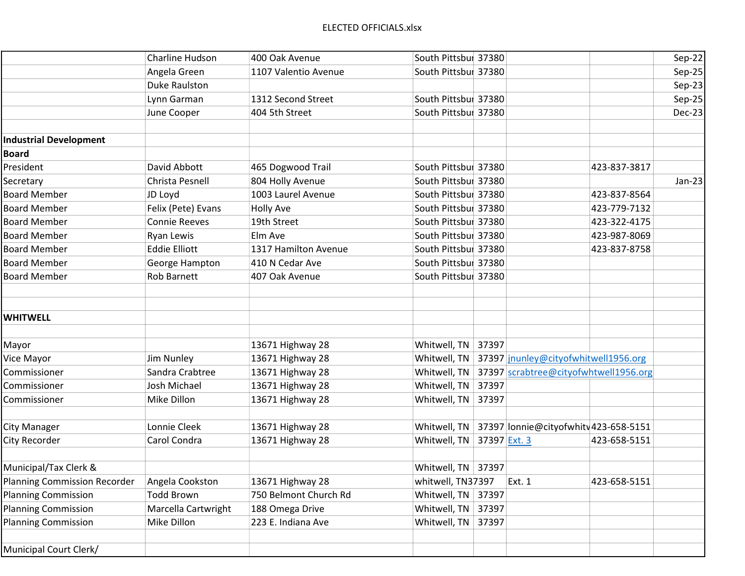|                                     | <b>Charline Hudson</b> | 400 Oak Avenue        | South Pittsbur 37380         |                                       |              | Sep-22   |
|-------------------------------------|------------------------|-----------------------|------------------------------|---------------------------------------|--------------|----------|
|                                     | Angela Green           | 1107 Valentio Avenue  | South Pittsbur 37380         |                                       |              | $Sep-25$ |
|                                     | <b>Duke Raulston</b>   |                       |                              |                                       |              | $Sep-23$ |
|                                     | Lynn Garman            | 1312 Second Street    | South Pittsbul 37380         |                                       |              | Sep-25   |
|                                     | June Cooper            | 404 5th Street        | South Pittsbur 37380         |                                       |              | Dec-23   |
|                                     |                        |                       |                              |                                       |              |          |
| <b>Industrial Development</b>       |                        |                       |                              |                                       |              |          |
| <b>Board</b>                        |                        |                       |                              |                                       |              |          |
| President                           | David Abbott           | 465 Dogwood Trail     | South Pittsbur 37380         |                                       | 423-837-3817 |          |
| Secretary                           | Christa Pesnell        | 804 Holly Avenue      | South Pittsbur 37380         |                                       |              | $Jan-23$ |
| <b>Board Member</b>                 | JD Loyd                | 1003 Laurel Avenue    | South Pittsbur 37380         |                                       | 423-837-8564 |          |
| <b>Board Member</b>                 | Felix (Pete) Evans     | <b>Holly Ave</b>      | South Pittsbur 37380         |                                       | 423-779-7132 |          |
| <b>Board Member</b>                 | <b>Connie Reeves</b>   | 19th Street           | South Pittsbur 37380         |                                       | 423-322-4175 |          |
| <b>Board Member</b>                 | Ryan Lewis             | Elm Ave               | South Pittsbur 37380         |                                       | 423-987-8069 |          |
| <b>Board Member</b>                 | <b>Eddie Elliott</b>   | 1317 Hamilton Avenue  | South Pittsbur 37380         |                                       | 423-837-8758 |          |
| <b>Board Member</b>                 | George Hampton         | 410 N Cedar Ave       | South Pittsbur 37380         |                                       |              |          |
| <b>Board Member</b>                 | Rob Barnett            | 407 Oak Avenue        | South Pittsbur 37380         |                                       |              |          |
|                                     |                        |                       |                              |                                       |              |          |
|                                     |                        |                       |                              |                                       |              |          |
| <b>WHITWELL</b>                     |                        |                       |                              |                                       |              |          |
|                                     |                        |                       |                              |                                       |              |          |
| Mayor                               |                        | 13671 Highway 28      | Whitwell, TN<br>37397        |                                       |              |          |
| Vice Mayor                          | Jim Nunley             | 13671 Highway 28      | Whitwell, TN                 | 37397 jnunley@cityofwhitwell1956.org  |              |          |
| Commissioner                        | Sandra Crabtree        | 13671 Highway 28      | Whitwell, TN                 | 37397 scrabtree@cityofwhtwell1956.org |              |          |
| Commissioner                        | Josh Michael           | 13671 Highway 28      | Whitwell, TN<br>37397        |                                       |              |          |
| Commissioner                        | Mike Dillon            | 13671 Highway 28      | Whitwell, TN<br>37397        |                                       |              |          |
|                                     |                        |                       |                              |                                       |              |          |
| <b>City Manager</b>                 | Lonnie Cleek           | 13671 Highway 28      | Whitwell, TN                 | 37397 Ionnie@cityofwhitv423-658-5151  |              |          |
| City Recorder                       | Carol Condra           | 13671 Highway 28      | Whitwell, TN<br>37397 Ext. 3 |                                       | 423-658-5151 |          |
|                                     |                        |                       |                              |                                       |              |          |
| Municipal/Tax Clerk &               |                        |                       | Whitwell, TN   37397         |                                       |              |          |
| <b>Planning Commission Recorder</b> | Angela Cookston        | 13671 Highway 28      | whitwell, TN37397            | Ext. 1                                | 423-658-5151 |          |
| <b>Planning Commission</b>          | <b>Todd Brown</b>      | 750 Belmont Church Rd | Whitwell, TN<br>37397        |                                       |              |          |
| <b>Planning Commission</b>          | Marcella Cartwright    | 188 Omega Drive       | Whitwell, TN<br>37397        |                                       |              |          |
| <b>Planning Commission</b>          | Mike Dillon            | 223 E. Indiana Ave    | Whitwell, TN<br>37397        |                                       |              |          |
|                                     |                        |                       |                              |                                       |              |          |
| Municipal Court Clerk/              |                        |                       |                              |                                       |              |          |
|                                     |                        |                       |                              |                                       |              |          |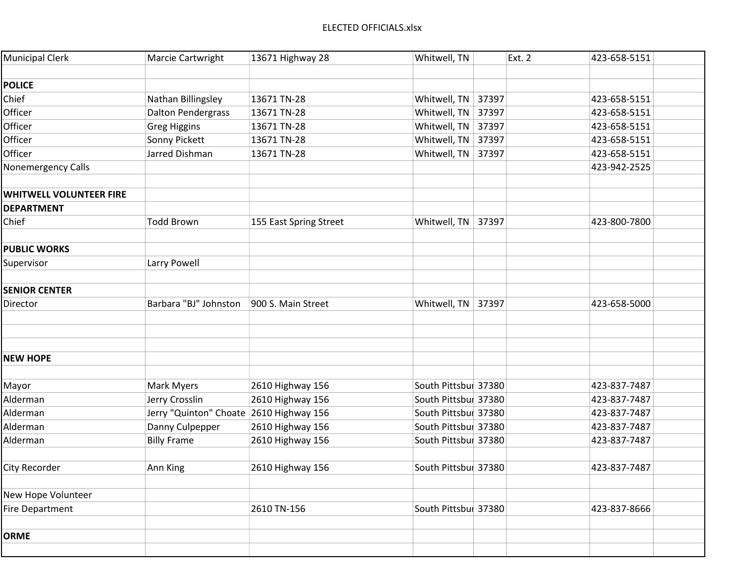| <b>Municipal Clerk</b>         | Marcie Cartwright                       | 13671 Highway 28       | Whitwell, TN         | <b>Ext. 2</b> | 423-658-5151 |  |
|--------------------------------|-----------------------------------------|------------------------|----------------------|---------------|--------------|--|
|                                |                                         |                        |                      |               |              |  |
| <b>POLICE</b>                  |                                         |                        |                      |               |              |  |
| Chief                          | Nathan Billingsley                      | 13671 TN-28            | Whitwell, TN         | 37397         | 423-658-5151 |  |
| Officer                        | <b>Dalton Pendergrass</b>               | 13671 TN-28            | Whitwell, TN         | 37397         | 423-658-5151 |  |
| Officer                        | <b>Greg Higgins</b>                     | 13671 TN-28            | Whitwell, TN 37397   |               | 423-658-5151 |  |
| Officer                        | Sonny Pickett                           | 13671 TN-28            | Whitwell, TN         | 37397         | 423-658-5151 |  |
| Officer                        | Jarred Dishman                          | 13671 TN-28            | Whitwell, TN         | 37397         | 423-658-5151 |  |
| Nonemergency Calls             |                                         |                        |                      |               | 423-942-2525 |  |
| <b>WHITWELL VOLUNTEER FIRE</b> |                                         |                        |                      |               |              |  |
| <b>DEPARTMENT</b>              |                                         |                        |                      |               |              |  |
| Chief                          | <b>Todd Brown</b>                       | 155 East Spring Street | Whitwell, TN   37397 |               | 423-800-7800 |  |
|                                |                                         |                        |                      |               |              |  |
| <b>PUBLIC WORKS</b>            |                                         |                        |                      |               |              |  |
| Supervisor                     | Larry Powell                            |                        |                      |               |              |  |
|                                |                                         |                        |                      |               |              |  |
| <b>SENIOR CENTER</b>           |                                         |                        |                      |               |              |  |
| Director                       | Barbara "BJ" Johnston                   | 900 S. Main Street     | Whitwell, TN         | 37397         | 423-658-5000 |  |
|                                |                                         |                        |                      |               |              |  |
|                                |                                         |                        |                      |               |              |  |
|                                |                                         |                        |                      |               |              |  |
| <b>NEW HOPE</b>                |                                         |                        |                      |               |              |  |
|                                |                                         |                        |                      |               |              |  |
| Mayor                          | Mark Myers                              | 2610 Highway 156       | South Pittsbur 37380 |               | 423-837-7487 |  |
| Alderman                       | Jerry Crosslin                          | 2610 Highway 156       | South Pittsbur 37380 |               | 423-837-7487 |  |
| Alderman                       | Jerry "Quinton" Choate 2610 Highway 156 |                        | South Pittsbur 37380 |               | 423-837-7487 |  |
| Alderman                       | Danny Culpepper                         | 2610 Highway 156       | South Pittsbur 37380 |               | 423-837-7487 |  |
| Alderman                       | <b>Billy Frame</b>                      | 2610 Highway 156       | South Pittsbur 37380 |               | 423-837-7487 |  |
|                                |                                         |                        |                      |               |              |  |
| City Recorder                  | Ann King                                | 2610 Highway 156       | South Pittsbur 37380 |               | 423-837-7487 |  |
|                                |                                         |                        |                      |               |              |  |
| New Hope Volunteer             |                                         |                        |                      |               |              |  |
| <b>Fire Department</b>         |                                         | 2610 TN-156            | South Pittsbur 37380 |               | 423-837-8666 |  |
|                                |                                         |                        |                      |               |              |  |
| <b>ORME</b>                    |                                         |                        |                      |               |              |  |
|                                |                                         |                        |                      |               |              |  |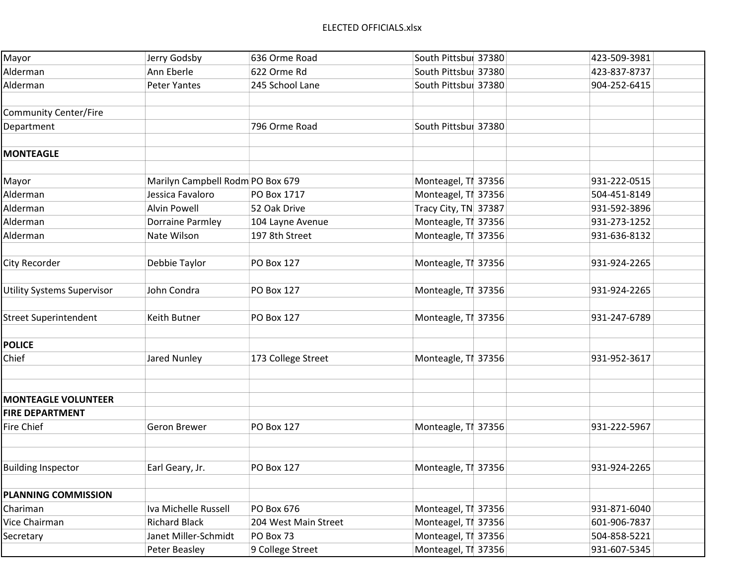| Mayor                             | Jerry Godsby                     | 636 Orme Road        | South Pittsbur 37380 | 423-509-3981 |  |
|-----------------------------------|----------------------------------|----------------------|----------------------|--------------|--|
| Alderman                          | Ann Eberle                       | 622 Orme Rd          | South Pittsbur 37380 | 423-837-8737 |  |
| Alderman                          | <b>Peter Yantes</b>              | 245 School Lane      | South Pittsbur 37380 | 904-252-6415 |  |
| <b>Community Center/Fire</b>      |                                  |                      |                      |              |  |
| Department                        |                                  | 796 Orme Road        | South Pittsbur 37380 |              |  |
|                                   |                                  |                      |                      |              |  |
| <b>MONTEAGLE</b>                  |                                  |                      |                      |              |  |
|                                   |                                  |                      |                      |              |  |
| Mayor                             | Marilyn Campbell Rodm PO Box 679 |                      | Monteagel, TI 37356  | 931-222-0515 |  |
| Alderman                          | Jessica Favaloro                 | PO Box 1717          | Monteagel, TI 37356  | 504-451-8149 |  |
| Alderman                          | <b>Alvin Powell</b>              | 52 Oak Drive         | Tracy City, TN 37387 | 931-592-3896 |  |
| Alderman                          | Dorraine Parmley                 | 104 Layne Avenue     | Monteagle, TI 37356  | 931-273-1252 |  |
| Alderman                          | Nate Wilson                      | 197 8th Street       | Monteagle, TI 37356  | 931-636-8132 |  |
|                                   |                                  |                      |                      |              |  |
| City Recorder                     | Debbie Taylor                    | <b>PO Box 127</b>    | Monteagle, TI 37356  | 931-924-2265 |  |
| <b>Utility Systems Supervisor</b> | John Condra                      | PO Box 127           | Monteagle, TI 37356  | 931-924-2265 |  |
|                                   |                                  |                      |                      |              |  |
| <b>Street Superintendent</b>      | Keith Butner                     | <b>PO Box 127</b>    | Monteagle, TI 37356  | 931-247-6789 |  |
| <b>POLICE</b>                     |                                  |                      |                      |              |  |
| Chief                             | Jared Nunley                     | 173 College Street   | Monteagle, TI 37356  | 931-952-3617 |  |
|                                   |                                  |                      |                      |              |  |
|                                   |                                  |                      |                      |              |  |
| <b>MONTEAGLE VOLUNTEER</b>        |                                  |                      |                      |              |  |
| <b>FIRE DEPARTMENT</b>            |                                  |                      |                      |              |  |
| Fire Chief                        | Geron Brewer                     | <b>PO Box 127</b>    | Monteagle, TI 37356  | 931-222-5967 |  |
|                                   |                                  |                      |                      |              |  |
| <b>Building Inspector</b>         | Earl Geary, Jr.                  | PO Box 127           | Monteagle, TI 37356  | 931-924-2265 |  |
|                                   |                                  |                      |                      |              |  |
| <b>PLANNING COMMISSION</b>        |                                  |                      |                      |              |  |
| Chariman                          | Iva Michelle Russell             | PO Box 676           | Monteagel, TI 37356  | 931-871-6040 |  |
| Vice Chairman                     | <b>Richard Black</b>             | 204 West Main Street | Monteagel, TI 37356  | 601-906-7837 |  |
| Secretary                         | Janet Miller-Schmidt             | PO Box 73            | Monteagel, TI 37356  | 504-858-5221 |  |
|                                   | Peter Beasley                    | 9 College Street     | Monteagel, TI 37356  | 931-607-5345 |  |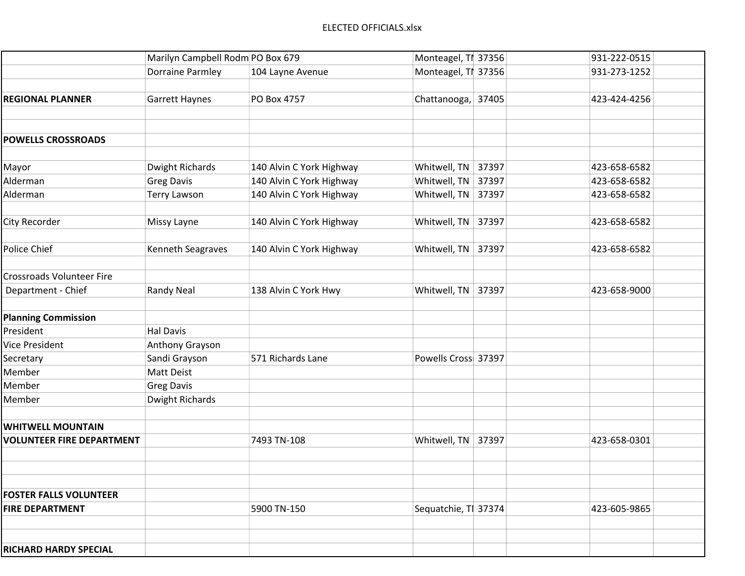|                                  | Marilyn Campbell Rodm PO Box 679 |                          | Monteagel, TI 37356   | 931-222-0515 |
|----------------------------------|----------------------------------|--------------------------|-----------------------|--------------|
|                                  | <b>Dorraine Parmley</b>          | 104 Layne Avenue         | Monteagel, TI 37356   | 931-273-1252 |
|                                  |                                  |                          |                       |              |
| <b>REGIONAL PLANNER</b>          | <b>Garrett Haynes</b>            | PO Box 4757              | Chattanooga, 37405    | 423-424-4256 |
|                                  |                                  |                          |                       |              |
|                                  |                                  |                          |                       |              |
| <b>POWELLS CROSSROADS</b>        |                                  |                          |                       |              |
|                                  |                                  |                          |                       |              |
| Mayor                            | Dwight Richards                  | 140 Alvin C York Highway | Whitwell, TN<br>37397 | 423-658-6582 |
| Alderman                         | <b>Greg Davis</b>                | 140 Alvin C York Highway | Whitwell, TN<br>37397 | 423-658-6582 |
| Alderman                         | <b>Terry Lawson</b>              | 140 Alvin C York Highway | Whitwell, TN<br>37397 | 423-658-6582 |
|                                  |                                  |                          |                       |              |
| City Recorder                    | Missy Layne                      | 140 Alvin C York Highway | Whitwell, TN<br>37397 | 423-658-6582 |
|                                  |                                  |                          |                       |              |
| Police Chief                     | Kenneth Seagraves                | 140 Alvin C York Highway | Whitwell, TN<br>37397 | 423-658-6582 |
|                                  |                                  |                          |                       |              |
| <b>Crossroads Volunteer Fire</b> |                                  |                          |                       |              |
| Department - Chief               | <b>Randy Neal</b>                | 138 Alvin C York Hwy     | Whitwell, TN<br>37397 | 423-658-9000 |
|                                  |                                  |                          |                       |              |
| <b>Planning Commission</b>       |                                  |                          |                       |              |
| President                        | <b>Hal Davis</b>                 |                          |                       |              |
| Vice President                   | Anthony Grayson                  |                          |                       |              |
| Secretary                        | Sandi Grayson                    | 571 Richards Lane        | Powells Cross 37397   |              |
| Member                           | Matt Deist                       |                          |                       |              |
| Member                           | <b>Greg Davis</b>                |                          |                       |              |
| Member                           | Dwight Richards                  |                          |                       |              |
|                                  |                                  |                          |                       |              |
| <b>WHITWELL MOUNTAIN</b>         |                                  |                          |                       |              |
| <b>VOLUNTEER FIRE DEPARTMENT</b> |                                  | 7493 TN-108              | Whitwell, TN<br>37397 | 423-658-0301 |
|                                  |                                  |                          |                       |              |
|                                  |                                  |                          |                       |              |
|                                  |                                  |                          |                       |              |
| <b>FOSTER FALLS VOLUNTEER</b>    |                                  |                          |                       |              |
| <b>FIRE DEPARTMENT</b>           |                                  | 5900 TN-150              | Sequatchie, TI 37374  | 423-605-9865 |
|                                  |                                  |                          |                       |              |
|                                  |                                  |                          |                       |              |
| <b>RICHARD HARDY SPECIAL</b>     |                                  |                          |                       |              |